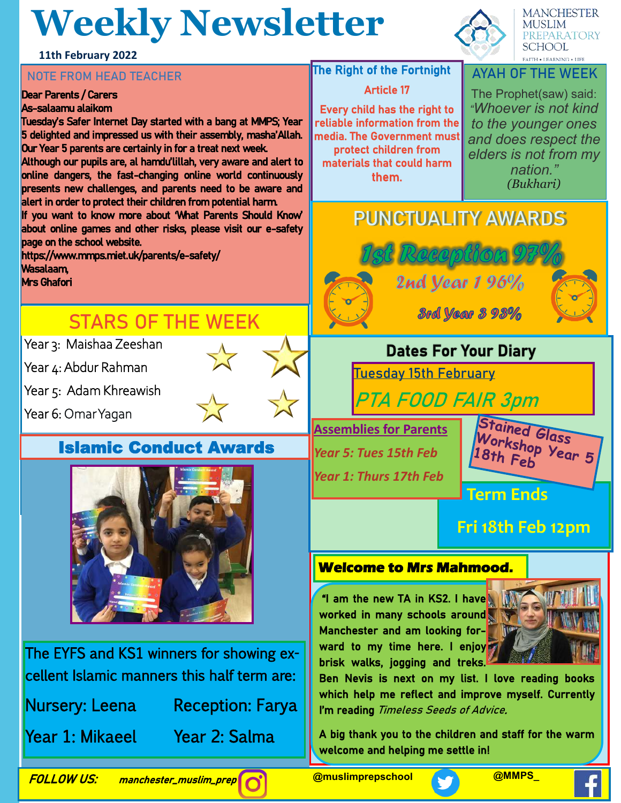## **Weekly Newsletter**

**MANCHESTER MUSLIM** PREPARATORY **SCHOOL**